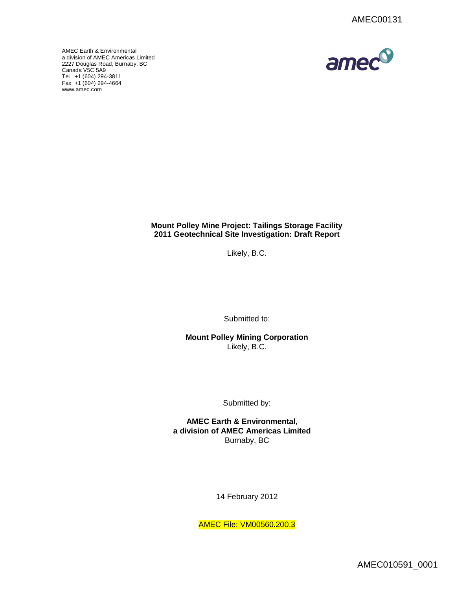



# **Mount Polley Mine Project: Tailings Storage Facility 2011 Geotechnical Site Investigation: Draft Report**

Likely, B.C.

Submitted to:

**Mount Polley Mining Corporation** Likely, B.C.

Submitted by:

**AMEC Earth & Environmental, a division of AMEC Americas Limited** Burnaby, BC

14 February 2012

AMEC File: VM00560.200.3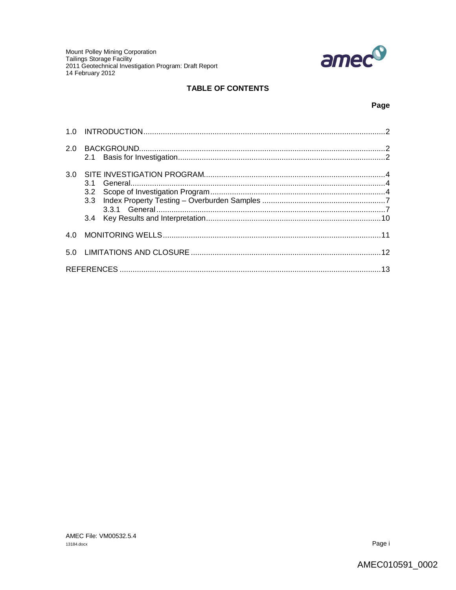

# **TABLE OF CONTENTS**

## Page

| 2.0 |     |  |
|-----|-----|--|
| 3.0 | 3.1 |  |
| 4 O |     |  |
|     |     |  |
|     |     |  |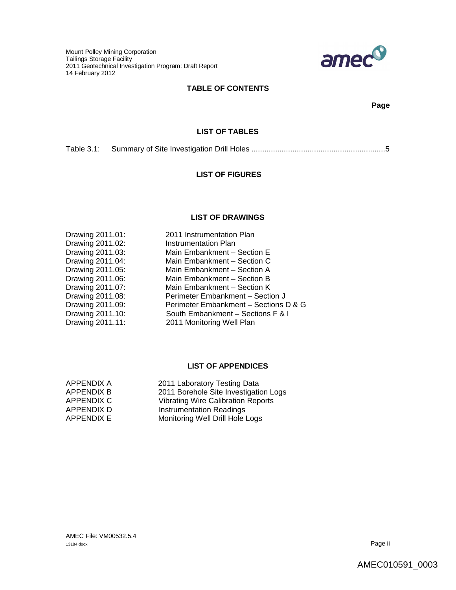

# **TABLE OF CONTENTS**

**Page**

# **LIST OF TABLES**

Table 3.1: Summary of Site Investigation Drill Holes ..............................................................5

# **LIST OF FIGURES**

## **LIST OF DRAWINGS**

| Drawing 2011.01:<br>Drawing 2011.02:<br>Drawing 2011.03:<br>Drawing 2011.04:<br>Drawing 2011.05:<br>Drawing 2011.06:<br>Drawing 2011.07:<br>Drawing 2011.08:<br>Drawing 2011.09:<br>Drawing 2011.10: | 2011 Instrumentation Plan<br>Instrumentation Plan<br>Main Embankment - Section E<br>Main Embankment - Section C<br>Main Embankment - Section A<br>Main Embankment - Section B<br>Main Embankment - Section K<br>Perimeter Embankment - Section J<br>Perimeter Embankment - Sections D & G<br>South Embankment - Sections F & I |
|------------------------------------------------------------------------------------------------------------------------------------------------------------------------------------------------------|--------------------------------------------------------------------------------------------------------------------------------------------------------------------------------------------------------------------------------------------------------------------------------------------------------------------------------|
| Drawing 2011.11:                                                                                                                                                                                     | 2011 Monitoring Well Plan                                                                                                                                                                                                                                                                                                      |
|                                                                                                                                                                                                      |                                                                                                                                                                                                                                                                                                                                |

# **LIST OF APPENDICES**

| APPENDIX A        | 2011 Laboratory Testing Data              |
|-------------------|-------------------------------------------|
| <b>APPENDIX B</b> | 2011 Borehole Site Investigation Logs     |
| APPENDIX C        | <b>Vibrating Wire Calibration Reports</b> |
| APPENDIX D        | <b>Instrumentation Readings</b>           |
| <b>APPENDIX E</b> | Monitoring Well Drill Hole Logs           |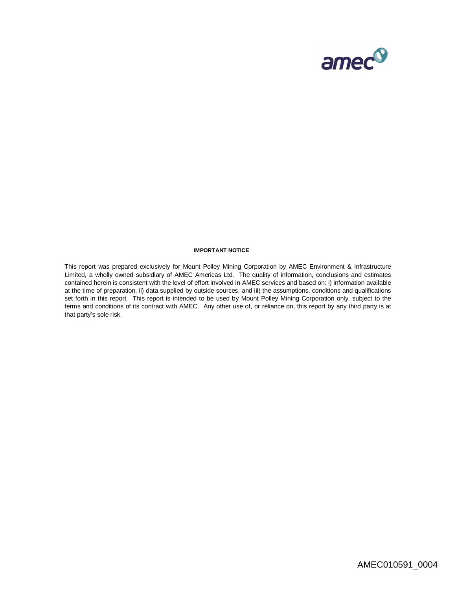

#### **IMPORTANT NOTICE**

This report was prepared exclusively for Mount Polley Mining Corporation by AMEC Environment & Infrastructure Limited, a wholly owned subsidiary of AMEC Americas Ltd. The quality of information, conclusions and estimates contained herein is consistent with the level of effort involved in AMEC services and based on: i) information available at the time of preparation, ii) data supplied by outside sources, and iii) the assumptions, conditions and qualifications set forth in this report. This report is intended to be used by Mount Polley Mining Corporation only, subject to the terms and conditions of its contract with AMEC. Any other use of, or reliance on, this report by any third party is at that party's sole risk.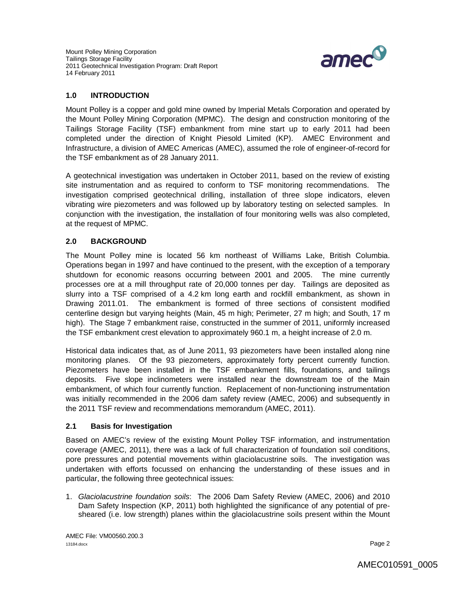

# **1.0 INTRODUCTION**

Mount Polley is a copper and gold mine owned by Imperial Metals Corporation and operated by the Mount Polley Mining Corporation (MPMC). The design and construction monitoring of the Tailings Storage Facility (TSF) embankment from mine start up to early 2011 had been completed under the direction of Knight Piesold Limited (KP). AMEC Environment and Infrastructure, a division of AMEC Americas (AMEC), assumed the role of engineer-of-record for the TSF embankment as of 28 January 2011.

A geotechnical investigation was undertaken in October 2011, based on the review of existing site instrumentation and as required to conform to TSF monitoring recommendations. The investigation comprised geotechnical drilling, installation of three slope indicators, eleven vibrating wire piezometers and was followed up by laboratory testing on selected samples. In conjunction with the investigation, the installation of four monitoring wells was also completed, at the request of MPMC.

## **2.0 BACKGROUND**

The Mount Polley mine is located 56 km northeast of Williams Lake, British Columbia. Operations began in 1997 and have continued to the present, with the exception of a temporary shutdown for economic reasons occurring between 2001 and 2005. The mine currently processes ore at a mill throughput rate of 20,000 tonnes per day. Tailings are deposited as slurry into a TSF comprised of a 4.2 km long earth and rockfill embankment, as shown in Drawing 2011.01. The embankment is formed of three sections of consistent modified centerline design but varying heights (Main, 45 m high; Perimeter, 27 m high; and South, 17 m high). The Stage 7 embankment raise, constructed in the summer of 2011, uniformly increased the TSF embankment crest elevation to approximately 960.1 m, a height increase of 2.0 m.

Historical data indicates that, as of June 2011, 93 piezometers have been installed along nine monitoring planes. Of the 93 piezometers, approximately forty percent currently function. Piezometers have been installed in the TSF embankment fills, foundations, and tailings deposits. Five slope inclinometers were installed near the downstream toe of the Main embankment, of which four currently function. Replacement of non-functioning instrumentation was initially recommended in the 2006 dam safety review (AMEC, 2006) and subsequently in the 2011 TSF review and recommendations memorandum (AMEC, 2011).

## **2.1 Basis for Investigation**

Based on AMEC's review of the existing Mount Polley TSF information, and instrumentation coverage (AMEC, 2011), there was a lack of full characterization of foundation soil conditions, pore pressures and potential movements within glaciolacustrine soils. The investigation was undertaken with efforts focussed on enhancing the understanding of these issues and in particular, the following three geotechnical issues:

1. *Glaciolacustrine foundation soils*: The 2006 Dam Safety Review (AMEC, 2006) and 2010 Dam Safety Inspection (KP, 2011) both highlighted the significance of any potential of presheared (i.e. low strength) planes within the glaciolacustrine soils present within the Mount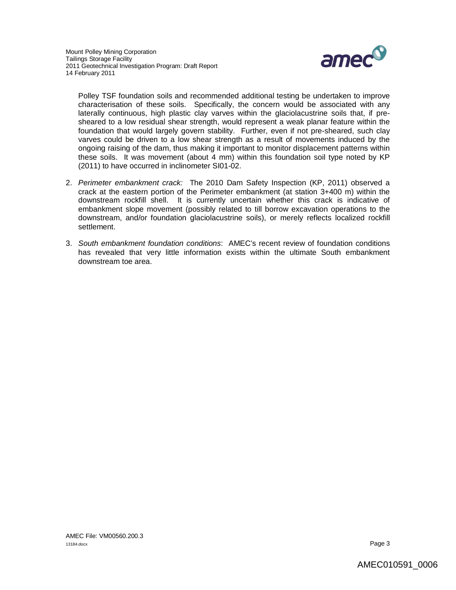

Polley TSF foundation soils and recommended additional testing be undertaken to improve characterisation of these soils. Specifically, the concern would be associated with any laterally continuous, high plastic clay varves within the glaciolacustrine soils that, if presheared to a low residual shear strength, would represent a weak planar feature within the foundation that would largely govern stability. Further, even if not pre-sheared, such clay varves could be driven to a low shear strength as a result of movements induced by the ongoing raising of the dam, thus making it important to monitor displacement patterns within these soils. It was movement (about 4 mm) within this foundation soil type noted by KP (2011) to have occurred in inclinometer SI01-02.

- 2. *Perimeter embankment crack:* The 2010 Dam Safety Inspection (KP, 2011) observed a crack at the eastern portion of the Perimeter embankment (at station 3+400 m) within the downstream rockfill shell. It is currently uncertain whether this crack is indicative of embankment slope movement (possibly related to till borrow excavation operations to the downstream, and/or foundation glaciolacustrine soils), or merely reflects localized rockfill settlement.
- 3. *South embankment foundation conditions*: AMEC's recent review of foundation conditions has revealed that very little information exists within the ultimate South embankment downstream toe area.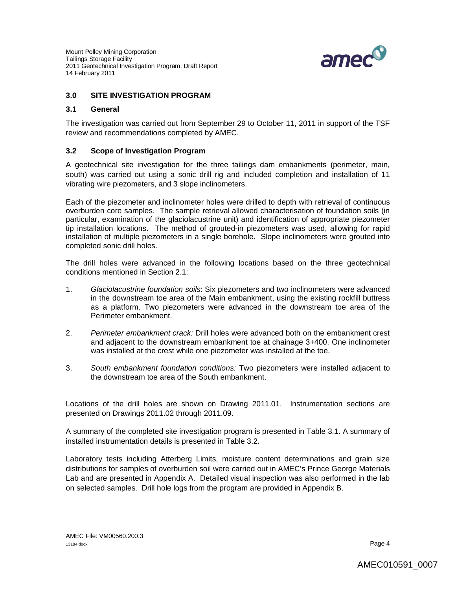

# **3.0 SITE INVESTIGATION PROGRAM**

#### **3.1 General**

The investigation was carried out from September 29 to October 11, 2011 in support of the TSF review and recommendations completed by AMEC.

## **3.2 Scope of Investigation Program**

A geotechnical site investigation for the three tailings dam embankments (perimeter, main, south) was carried out using a sonic drill rig and included completion and installation of 11 vibrating wire piezometers, and 3 slope inclinometers.

Each of the piezometer and inclinometer holes were drilled to depth with retrieval of continuous overburden core samples. The sample retrieval allowed characterisation of foundation soils (in particular, examination of the glaciolacustrine unit) and identification of appropriate piezometer tip installation locations. The method of grouted-in piezometers was used, allowing for rapid installation of multiple piezometers in a single borehole. Slope inclinometers were grouted into completed sonic drill holes.

The drill holes were advanced in the following locations based on the three geotechnical conditions mentioned in Section 2.1:

- 1. *Glaciolacustrine foundation soils*: Six piezometers and two inclinometers were advanced in the downstream toe area of the Main embankment, using the existing rockfill buttress as a platform. Two piezometers were advanced in the downstream toe area of the Perimeter embankment.
- 2. *Perimeter embankment crack:* Drill holes were advanced both on the embankment crest and adjacent to the downstream embankment toe at chainage 3+400. One inclinometer was installed at the crest while one piezometer was installed at the toe.
- 3. *South embankment foundation conditions:* Two piezometers were installed adjacent to the downstream toe area of the South embankment.

Locations of the drill holes are shown on Drawing 2011.01. Instrumentation sections are presented on Drawings 2011.02 through 2011.09.

A summary of the completed site investigation program is presented in Table 3.1. A summary of installed instrumentation details is presented in Table 3.2.

Laboratory tests including Atterberg Limits, moisture content determinations and grain size distributions for samples of overburden soil were carried out in AMEC's Prince George Materials Lab and are presented in Appendix A. Detailed visual inspection was also performed in the lab on selected samples. Drill hole logs from the program are provided in Appendix B.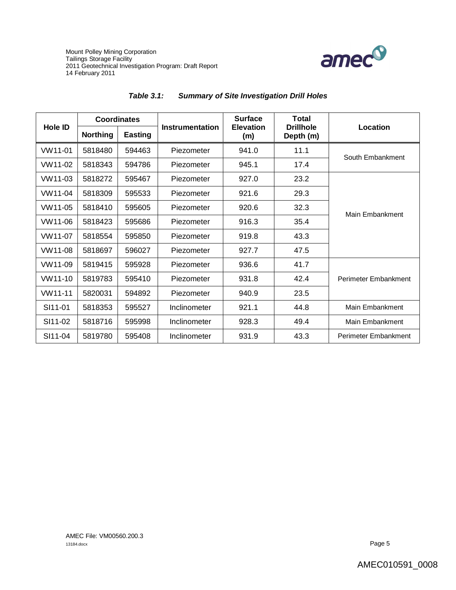



|                | <b>Coordinates</b> |                |                 | <b>Surface</b>          | <b>Total</b>                  |                      |  |
|----------------|--------------------|----------------|-----------------|-------------------------|-------------------------------|----------------------|--|
| <b>Hole ID</b> | <b>Northing</b>    | <b>Easting</b> | Instrumentation | <b>Elevation</b><br>(m) | <b>Drillhole</b><br>Depth (m) | Location             |  |
| VW11-01        | 5818480            | 594463         | Piezometer      | 941.0                   | 11.1                          | South Embankment     |  |
| VW11-02        | 5818343            | 594786         | Piezometer      | 945.1                   | 17.4                          |                      |  |
| VW11-03        | 5818272            | 595467         | Piezometer      | 927.0                   | 23.2                          |                      |  |
| VW11-04        | 5818309            | 595533         | Piezometer      | 921.6                   | 29.3                          |                      |  |
| VW11-05        | 5818410            | 595605         | Piezometer      | 920.6                   | 32.3                          | Main Embankment      |  |
| VW11-06        | 5818423            | 595686         | Piezometer      | 916.3                   | 35.4                          |                      |  |
| VW11-07        | 5818554            | 595850         | Piezometer      | 919.8                   | 43.3                          |                      |  |
| VW11-08        | 5818697            | 596027         | Piezometer      | 927.7                   | 47.5                          |                      |  |
| VW11-09        | 5819415            | 595928         | Piezometer      | 936.6                   | 41.7                          |                      |  |
| VW11-10        | 5819783            | 595410         | Piezometer      | 931.8                   | 42.4                          | Perimeter Embankment |  |
| VW11-11        | 5820031            | 594892         | Piezometer      | 940.9                   | 23.5                          |                      |  |
| SI11-01        | 5818353            | 595527         | Inclinometer    | 921.1                   | 44.8                          | Main Embankment      |  |
| SI11-02        | 5818716            | 595998         | Inclinometer    | 928.3                   | 49.4                          | Main Embankment      |  |
| SI11-04        | 5819780            | 595408         | Inclinometer    | 931.9                   | 43.3                          | Perimeter Embankment |  |

# *Table 3.1: Summary of Site Investigation Drill Holes*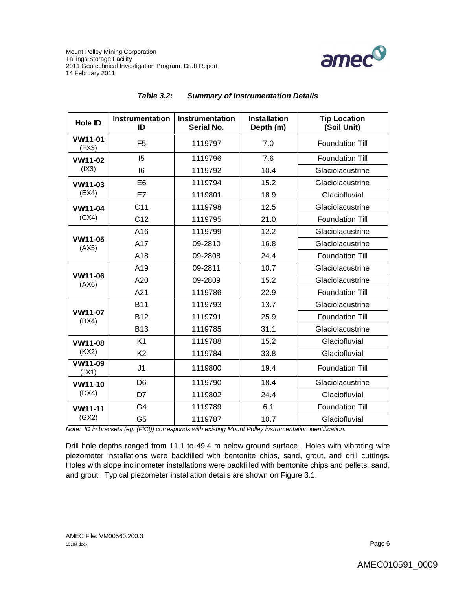

| <b>Hole ID</b>          | <b>Instrumentation</b><br>ID | <b>Instrumentation</b><br><b>Serial No.</b> | <b>Installation</b><br>Depth (m) | <b>Tip Location</b><br>(Soil Unit) |
|-------------------------|------------------------------|---------------------------------------------|----------------------------------|------------------------------------|
| VW11-01<br>(FX3)        | F <sub>5</sub>               | 1119797                                     | 7.0                              | <b>Foundation Till</b>             |
| VW11-02                 | 15                           | 1119796                                     | 7.6                              | <b>Foundation Till</b>             |
| (IX3)                   | 16                           | 1119792                                     | 10.4                             | Glaciolacustrine                   |
| VW11-03                 | E <sub>6</sub>               | 1119794                                     | 15.2                             | Glaciolacustrine                   |
| (EX4)                   | E7                           | 1119801                                     | 18.9                             | Glaciofluvial                      |
| <b>VW11-04</b>          | C <sub>11</sub>              | 1119798                                     | 12.5                             | Glaciolacustrine                   |
| (CX4)                   | C <sub>12</sub>              | 1119795                                     | 21.0                             | <b>Foundation Till</b>             |
|                         | A16                          | 1119799                                     | 12.2                             | Glaciolacustrine                   |
| VW11-05<br>(AX5)        | A17                          | 09-2810                                     | 16.8                             | Glaciolacustrine                   |
|                         | A18                          | 09-2808                                     | 24.4                             | <b>Foundation Till</b>             |
|                         | A19                          | 09-2811                                     | 10.7                             | Glaciolacustrine                   |
| VW11-06<br>(AX6)        | A20                          | 09-2809                                     | 15.2                             | Glaciolacustrine                   |
|                         | A21                          | 1119786                                     | 22.9                             | <b>Foundation Till</b>             |
|                         | <b>B11</b>                   | 1119793                                     | 13.7                             | Glaciolacustrine                   |
| <b>VW11-07</b><br>(BX4) | <b>B12</b>                   | 1119791                                     | 25.9                             | <b>Foundation Till</b>             |
|                         | <b>B13</b>                   | 1119785                                     | 31.1                             | Glaciolacustrine                   |
| <b>VW11-08</b>          | K1                           | 1119788                                     | 15.2                             | Glaciofluvial                      |
| (KX2)                   | K <sub>2</sub>               | 1119784                                     | 33.8                             | Glaciofluvial                      |
| <b>VW11-09</b><br>(JX1) | J <sub>1</sub>               | 1119800                                     | 19.4                             | <b>Foundation Till</b>             |
| VW11-10                 | D <sub>6</sub>               | 1119790                                     | 18.4                             | Glaciolacustrine                   |
| (DX4)                   | D7                           | 1119802                                     | 24.4                             | Glaciofluvial                      |
| <b>VW11-11</b>          | G <sub>4</sub>               | 1119789                                     | 6.1                              | <b>Foundation Till</b>             |
| (GX2)                   | G <sub>5</sub>               | 1119787                                     | 10.7                             | Glaciofluvial                      |

#### *Table 3.2: Summary of Instrumentation Details*

*Note: ID in brackets (eg. (FX3)) corresponds with existing Mount Polley instrumentation identification.*

Drill hole depths ranged from 11.1 to 49.4 m below ground surface. Holes with vibrating wire piezometer installations were backfilled with bentonite chips, sand, grout, and drill cuttings. Holes with slope inclinometer installations were backfilled with bentonite chips and pellets, sand, and grout. Typical piezometer installation details are shown on Figure 3.1.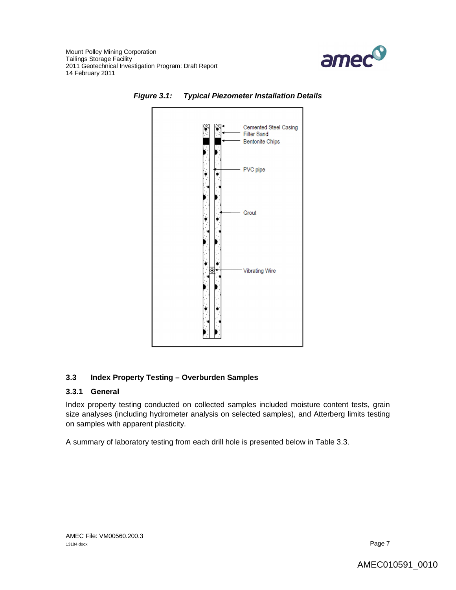





# **3.3 Index Property Testing – Overburden Samples**

#### **3.3.1 General**

Index property testing conducted on collected samples included moisture content tests, grain size analyses (including hydrometer analysis on selected samples), and Atterberg limits testing on samples with apparent plasticity.

A summary of laboratory testing from each drill hole is presented below in Table 3.3.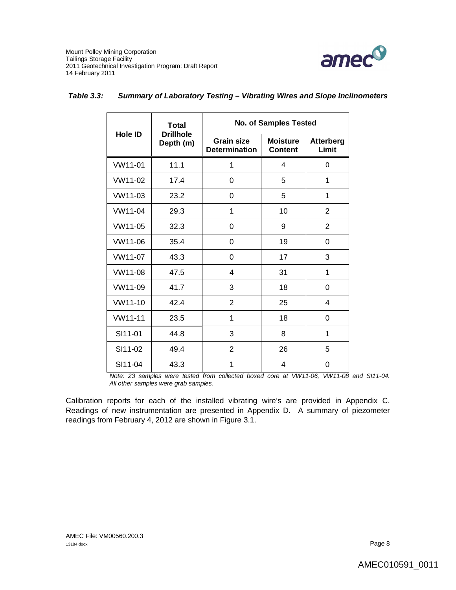

|                | <b>Total</b>                  | <b>No. of Samples Tested</b>              |                                   |                           |  |
|----------------|-------------------------------|-------------------------------------------|-----------------------------------|---------------------------|--|
| <b>Hole ID</b> | <b>Drillhole</b><br>Depth (m) | <b>Grain size</b><br><b>Determination</b> | <b>Moisture</b><br><b>Content</b> | <b>Atterberg</b><br>Limit |  |
| VW11-01        | 11.1                          | 1                                         | 4                                 | 0                         |  |
| VW11-02        | 17.4                          | 0                                         | 5                                 | 1                         |  |
| VW11-03        | 23.2                          | 0                                         | 5                                 | 1                         |  |
| VW11-04        | 29.3                          | 1                                         | 10                                | $\overline{2}$            |  |
| VW11-05        | 32.3                          | 0                                         | 9                                 | 2                         |  |
| VW11-06        | 35.4                          | 0                                         | 19                                | 0                         |  |
| VW11-07        | 43.3                          | 0                                         | 17                                | 3                         |  |
| VW11-08        | 47.5                          | 4                                         | 31                                | 1                         |  |
| VW11-09        | 41.7                          | 3                                         | 18                                | 0                         |  |
| VW11-10        | 42.4                          | 2                                         | 25                                | 4                         |  |
| VW11-11        | 23.5                          | 1                                         | 18                                | 0                         |  |
| SI11-01        | 44.8                          | 3                                         | 8                                 | 1                         |  |
| SI11-02        | 49.4                          | 2                                         | 26                                | 5                         |  |
| SI11-04        | 43.3                          | 1                                         | 4                                 | 0                         |  |

### *Table 3.3: Summary of Laboratory Testing – Vibrating Wires and Slope Inclinometers*

*Note: 23 samples were tested from collected boxed core at VW11-06, VW11-08 and SI11-04. All other samples were grab samples.*

Calibration reports for each of the installed vibrating wire's are provided in Appendix C. Readings of new instrumentation are presented in Appendix D. A summary of piezometer readings from February 4, 2012 are shown in Figure 3.1.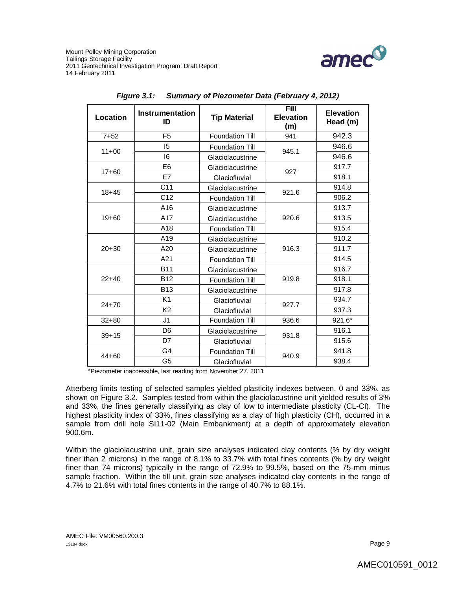

| <b>Location</b> | Instrumentation<br>ID | <b>Tip Material</b>    | Fill<br><b>Elevation</b><br>(m) | <b>Elevation</b><br>Head (m) |
|-----------------|-----------------------|------------------------|---------------------------------|------------------------------|
| $7 + 52$        | F <sub>5</sub>        | <b>Foundation Till</b> | 941                             | 942.3                        |
| $11+00$         | 15                    | <b>Foundation Till</b> | 945.1                           | 946.6                        |
|                 | 16                    | Glaciolacustrine       |                                 | 946.6                        |
| $17 + 60$       | E <sub>6</sub>        | Glaciolacustrine       | 927                             | 917.7                        |
|                 | E7                    | Glaciofluvial          |                                 | 918.1                        |
| $18 + 45$       | C <sub>11</sub>       | Glaciolacustrine       | 921.6                           | 914.8                        |
|                 | C <sub>12</sub>       | <b>Foundation Till</b> |                                 | 906.2                        |
|                 | A16                   | Glaciolacustrine       |                                 | 913.7                        |
| $19 + 60$       | A17                   | Glaciolacustrine       | 920.6                           | 913.5                        |
|                 | A18                   | <b>Foundation Till</b> |                                 | 915.4                        |
|                 | A19                   | Glaciolacustrine       | 916.3                           | 910.2                        |
| $20 + 30$       | A20                   | Glaciolacustrine       |                                 | 911.7                        |
|                 | A21                   | <b>Foundation Till</b> |                                 | 914.5                        |
|                 | <b>B11</b>            | Glaciolacustrine       |                                 | 916.7                        |
| $22+40$         | <b>B12</b>            | <b>Foundation Till</b> | 919.8                           | 918.1                        |
|                 | <b>B13</b>            | Glaciolacustrine       |                                 | 917.8                        |
| $24 + 70$       | K <sub>1</sub>        | Glaciofluvial          | 927.7                           | 934.7                        |
|                 | K <sub>2</sub>        | Glaciofluvial          |                                 | 937.3                        |
| $32 + 80$       | J <sub>1</sub>        | <b>Foundation Till</b> | 936.6                           | 921.6*                       |
| $39 + 15$       | D <sub>6</sub>        | Glaciolacustrine       |                                 | 916.1                        |
|                 | D7                    | Glaciofluvial          | 931.8                           | 915.6                        |
| $44 + 60$       | G4                    | <b>Foundation Till</b> | 940.9                           | 941.8                        |
|                 | G <sub>5</sub>        | Glaciofluvial          |                                 | 938.4                        |

|  |  | Figure 3.1: Summary of Piezometer Data (February 4, 2012) |
|--|--|-----------------------------------------------------------|
|--|--|-----------------------------------------------------------|

\*Piezometer inaccessible, last reading from November 27, 2011

Atterberg limits testing of selected samples yielded plasticity indexes between, 0 and 33%, as shown on Figure 3.2. Samples tested from within the glaciolacustrine unit yielded results of 3% and 33%, the fines generally classifying as clay of low to intermediate plasticity (CL-CI). The highest plasticity index of 33%, fines classifying as a clay of high plasticity (CH), occurred in a sample from drill hole SI11-02 (Main Embankment) at a depth of approximately elevation 900.6m.

Within the glaciolacustrine unit, grain size analyses indicated clay contents (% by dry weight finer than 2 microns) in the range of 8.1% to 33.7% with total fines contents (% by dry weight finer than 74 microns) typically in the range of 72.9% to 99.5%, based on the 75-mm minus sample fraction. Within the till unit, grain size analyses indicated clay contents in the range of 4.7% to 21.6% with total fines contents in the range of 40.7% to 88.1%.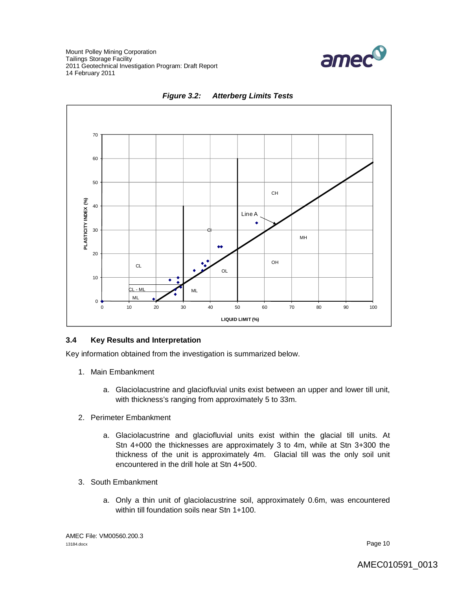





## **3.4 Key Results and Interpretation**

Key information obtained from the investigation is summarized below.

- 1. Main Embankment
	- a. Glaciolacustrine and glaciofluvial units exist between an upper and lower till unit, with thickness's ranging from approximately 5 to 33m.
- 2. Perimeter Embankment
	- a. Glaciolacustrine and glaciofluvial units exist within the glacial till units. At Stn 4+000 the thicknesses are approximately 3 to 4m, while at Stn 3+300 the thickness of the unit is approximately 4m. Glacial till was the only soil unit encountered in the drill hole at Stn 4+500.
- 3. South Embankment
	- a. Only a thin unit of glaciolacustrine soil, approximately 0.6m, was encountered within till foundation soils near Stn 1+100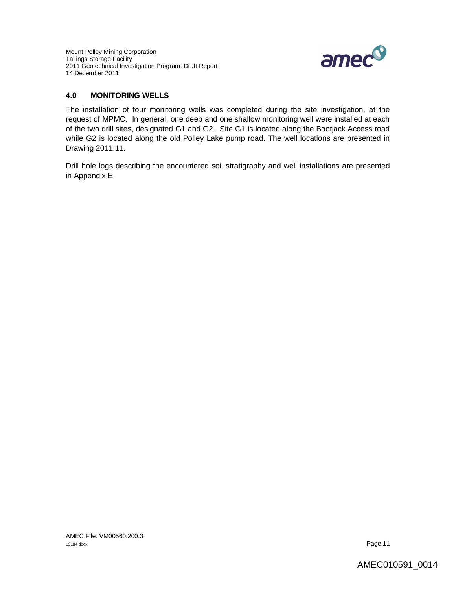

# **4.0 MONITORING WELLS**

The installation of four monitoring wells was completed during the site investigation, at the request of MPMC. In general, one deep and one shallow monitoring well were installed at each of the two drill sites, designated G1 and G2. Site G1 is located along the Bootjack Access road while G2 is located along the old Polley Lake pump road. The well locations are presented in Drawing 2011.11.

Drill hole logs describing the encountered soil stratigraphy and well installations are presented in Appendix E.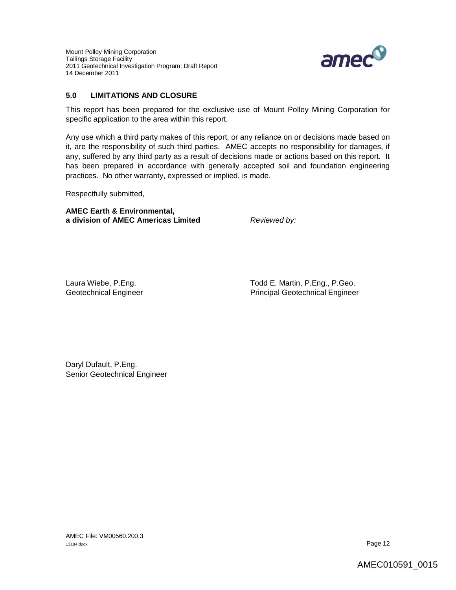

# **5.0 LIMITATIONS AND CLOSURE**

This report has been prepared for the exclusive use of Mount Polley Mining Corporation for specific application to the area within this report.

Any use which a third party makes of this report, or any reliance on or decisions made based on it, are the responsibility of such third parties. AMEC accepts no responsibility for damages, if any, suffered by any third party as a result of decisions made or actions based on this report. It has been prepared in accordance with generally accepted soil and foundation engineering practices. No other warranty, expressed or implied, is made.

Respectfully submitted,

**AMEC Earth & Environmental, a division of AMEC Americas Limited** *Reviewed by:*

Laura Wiebe, P.Eng. The Collection of the Cause of Todd E. Martin, P.Eng., P.Geo. Geotechnical Engineer **Principal Geotechnical Engineer** Principal Geotechnical Engineer

Daryl Dufault, P.Eng. Senior Geotechnical Engineer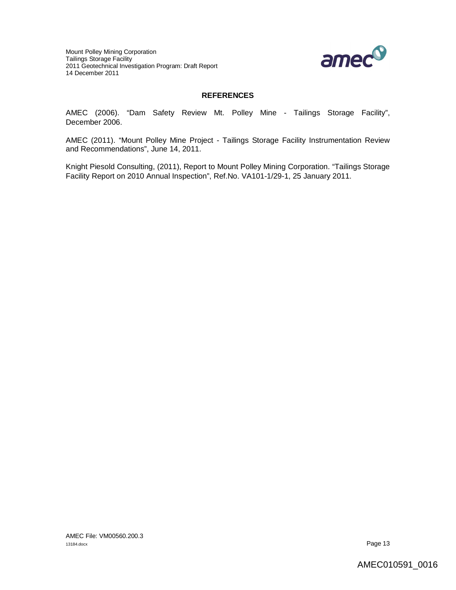

# **REFERENCES**

AMEC (2006). "Dam Safety Review Mt. Polley Mine - Tailings Storage Facility", December 2006.

AMEC (2011). "Mount Polley Mine Project - Tailings Storage Facility Instrumentation Review and Recommendations", June 14, 2011.

Knight Piesold Consulting, (2011), Report to Mount Polley Mining Corporation. "Tailings Storage Facility Report on 2010 Annual Inspection", Ref.No. VA101-1/29-1, 25 January 2011.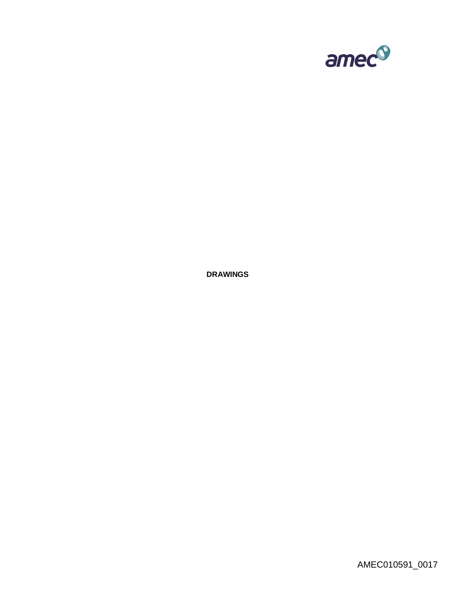

**DRAWINGS**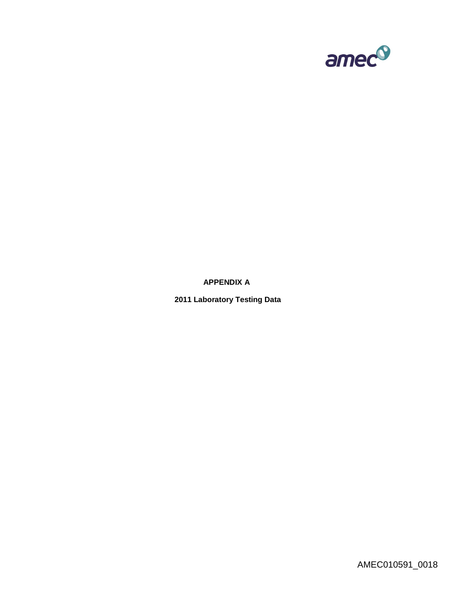

**APPENDIX A**

**2011 Laboratory Testing Data**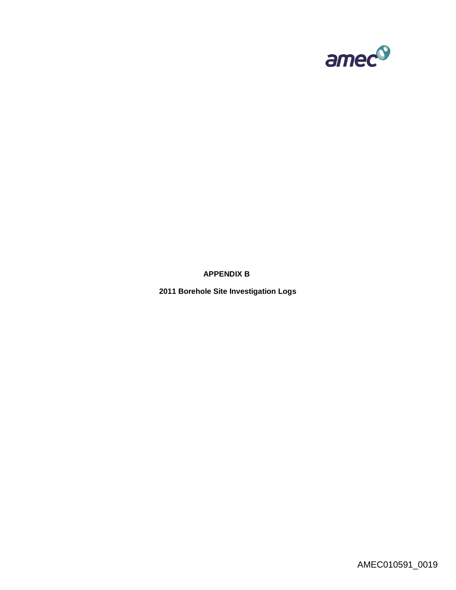

**APPENDIX B**

**2011 Borehole Site Investigation Logs**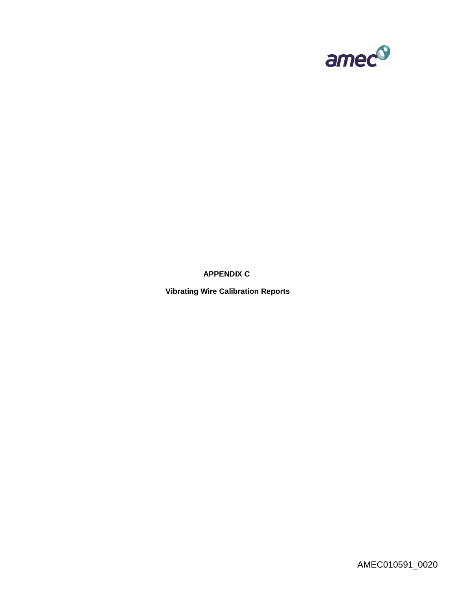

**APPENDIX C**

**Vibrating Wire Calibration Reports**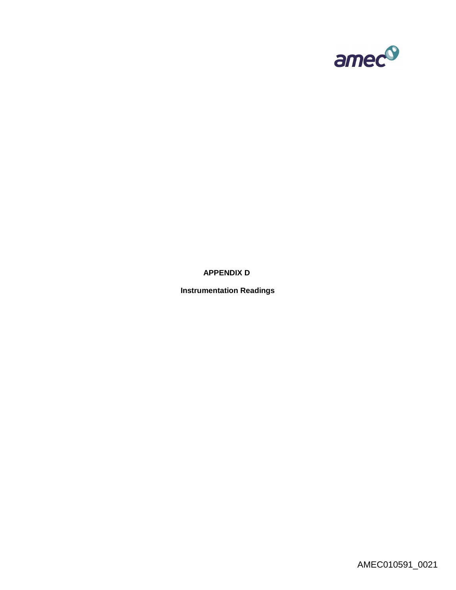

**APPENDIX D**

**Instrumentation Readings**